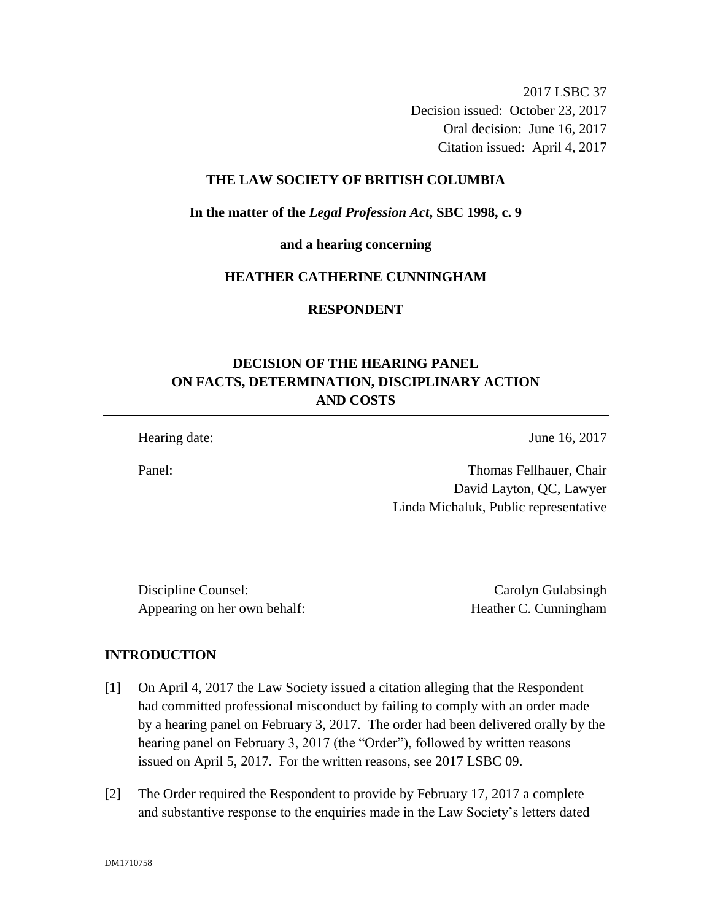2017 LSBC 37 Decision issued: October 23, 2017 Oral decision: June 16, 2017 Citation issued: April 4, 2017

# **THE LAW SOCIETY OF BRITISH COLUMBIA**

**In the matter of the** *Legal Profession Act***, SBC 1998, c. 9** 

**and a hearing concerning** 

# **HEATHER CATHERINE CUNNINGHAM**

**RESPONDENT** 

# **DECISION OF THE HEARING PANEL ON FACTS, DETERMINATION, DISCIPLINARY ACTION AND COSTS**

Hearing date: June 16, 2017

Panel: Thomas Fellhauer, Chair David Layton, QC, Lawyer Linda Michaluk, Public representative

Discipline Counsel: Carolyn Gulabsingh Carolyn Gulabsingh Appearing on her own behalf: Heather C. Cunningham

## **INTRODUCTION**

- [1] On April 4, 2017 the Law Society issued a citation alleging that the Respondent had committed professional misconduct by failing to comply with an order made by a hearing panel on February 3, 2017. The order had been delivered orally by the hearing panel on February 3, 2017 (the "Order"), followed by written reasons issued on April 5, 2017. For the written reasons, see 2017 LSBC 09.
- [2] The Order required the Respondent to provide by February 17, 2017 a complete and substantive response to the enquiries made in the Law Society's letters dated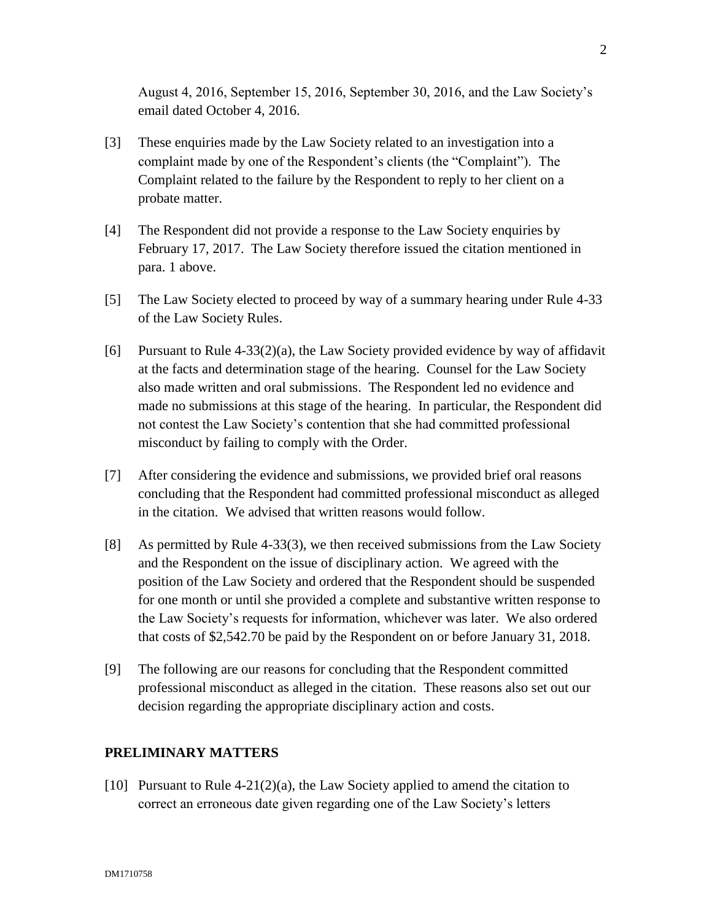August 4, 2016, September 15, 2016, September 30, 2016, and the Law Society's email dated October 4, 2016.

- [3] These enquiries made by the Law Society related to an investigation into a complaint made by one of the Respondent's clients (the "Complaint"). The Complaint related to the failure by the Respondent to reply to her client on a probate matter.
- [4] The Respondent did not provide a response to the Law Society enquiries by February 17, 2017. The Law Society therefore issued the citation mentioned in para. 1 above.
- [5] The Law Society elected to proceed by way of a summary hearing under Rule 4-33 of the Law Society Rules.
- [6] Pursuant to Rule 4-33(2)(a), the Law Society provided evidence by way of affidavit at the facts and determination stage of the hearing. Counsel for the Law Society also made written and oral submissions. The Respondent led no evidence and made no submissions at this stage of the hearing. In particular, the Respondent did not contest the Law Society's contention that she had committed professional misconduct by failing to comply with the Order.
- [7] After considering the evidence and submissions, we provided brief oral reasons concluding that the Respondent had committed professional misconduct as alleged in the citation. We advised that written reasons would follow.
- [8] As permitted by Rule 4-33(3), we then received submissions from the Law Society and the Respondent on the issue of disciplinary action. We agreed with the position of the Law Society and ordered that the Respondent should be suspended for one month or until she provided a complete and substantive written response to the Law Society's requests for information, whichever was later. We also ordered that costs of \$2,542.70 be paid by the Respondent on or before January 31, 2018.
- [9] The following are our reasons for concluding that the Respondent committed professional misconduct as alleged in the citation. These reasons also set out our decision regarding the appropriate disciplinary action and costs.

## **PRELIMINARY MATTERS**

[10] Pursuant to Rule  $4-21(2)(a)$ , the Law Society applied to amend the citation to correct an erroneous date given regarding one of the Law Society's letters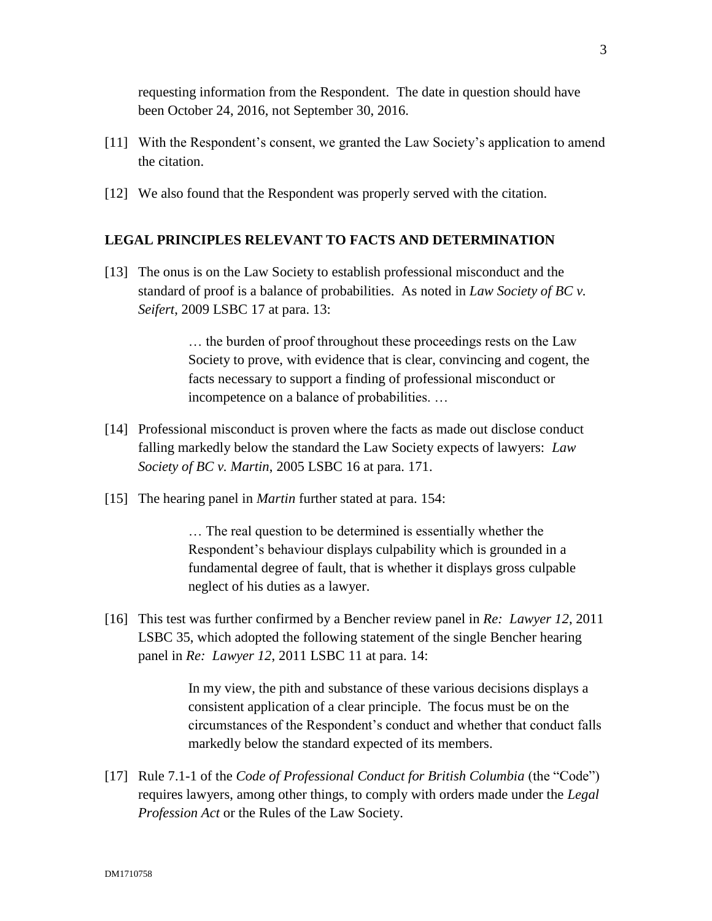requesting information from the Respondent. The date in question should have been October 24, 2016, not September 30, 2016.

- [11] With the Respondent's consent, we granted the Law Society's application to amend the citation.
- [12] We also found that the Respondent was properly served with the citation.

## **LEGAL PRINCIPLES RELEVANT TO FACTS AND DETERMINATION**

[13] The onus is on the Law Society to establish professional misconduct and the standard of proof is a balance of probabilities. As noted in *Law Society of BC v. Seifert*, 2009 LSBC 17 at para. 13:

> … the burden of proof throughout these proceedings rests on the Law Society to prove, with evidence that is clear, convincing and cogent, the facts necessary to support a finding of professional misconduct or incompetence on a balance of probabilities. …

- [14] Professional misconduct is proven where the facts as made out disclose conduct falling markedly below the standard the Law Society expects of lawyers: *Law Society of BC v. Martin*, 2005 LSBC 16 at para. 171.
- [15] The hearing panel in *Martin* further stated at para. 154:

… The real question to be determined is essentially whether the Respondent's behaviour displays culpability which is grounded in a fundamental degree of fault, that is whether it displays gross culpable neglect of his duties as a lawyer.

[16] This test was further confirmed by a Bencher review panel in *Re: Lawyer 12*, 2011 LSBC 35, which adopted the following statement of the single Bencher hearing panel in *Re: Lawyer 12*, 2011 LSBC 11 at para. 14:

> In my view, the pith and substance of these various decisions displays a consistent application of a clear principle. The focus must be on the circumstances of the Respondent's conduct and whether that conduct falls markedly below the standard expected of its members.

[17] Rule 7.1-1 of the *Code of Professional Conduct for British Columbia* (the "Code") requires lawyers, among other things, to comply with orders made under the *Legal Profession Act* or the Rules of the Law Society.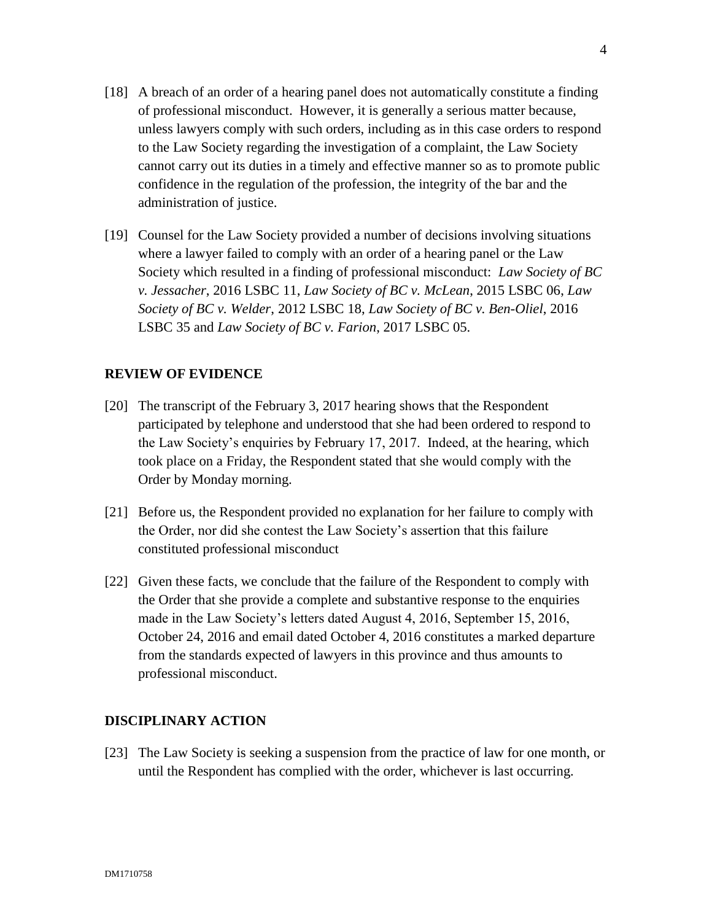- [18] A breach of an order of a hearing panel does not automatically constitute a finding of professional misconduct. However, it is generally a serious matter because, unless lawyers comply with such orders, including as in this case orders to respond to the Law Society regarding the investigation of a complaint, the Law Society cannot carry out its duties in a timely and effective manner so as to promote public confidence in the regulation of the profession, the integrity of the bar and the administration of justice.
- [19] Counsel for the Law Society provided a number of decisions involving situations where a lawyer failed to comply with an order of a hearing panel or the Law Society which resulted in a finding of professional misconduct: *Law Society of BC v. Jessacher*, 2016 LSBC 11, *Law Society of BC v. McLean*, 2015 LSBC 06, *Law Society of BC v. Welder*, 2012 LSBC 18, *Law Society of BC v. Ben-Oliel*, 2016 LSBC 35 and *Law Society of BC v. Farion*, 2017 LSBC 05.

## **REVIEW OF EVIDENCE**

- [20] The transcript of the February 3, 2017 hearing shows that the Respondent participated by telephone and understood that she had been ordered to respond to the Law Society's enquiries by February 17, 2017. Indeed, at the hearing, which took place on a Friday, the Respondent stated that she would comply with the Order by Monday morning.
- [21] Before us, the Respondent provided no explanation for her failure to comply with the Order, nor did she contest the Law Society's assertion that this failure constituted professional misconduct
- [22] Given these facts, we conclude that the failure of the Respondent to comply with the Order that she provide a complete and substantive response to the enquiries made in the Law Society's letters dated August 4, 2016, September 15, 2016, October 24, 2016 and email dated October 4, 2016 constitutes a marked departure from the standards expected of lawyers in this province and thus amounts to professional misconduct.

## **DISCIPLINARY ACTION**

[23] The Law Society is seeking a suspension from the practice of law for one month, or until the Respondent has complied with the order, whichever is last occurring.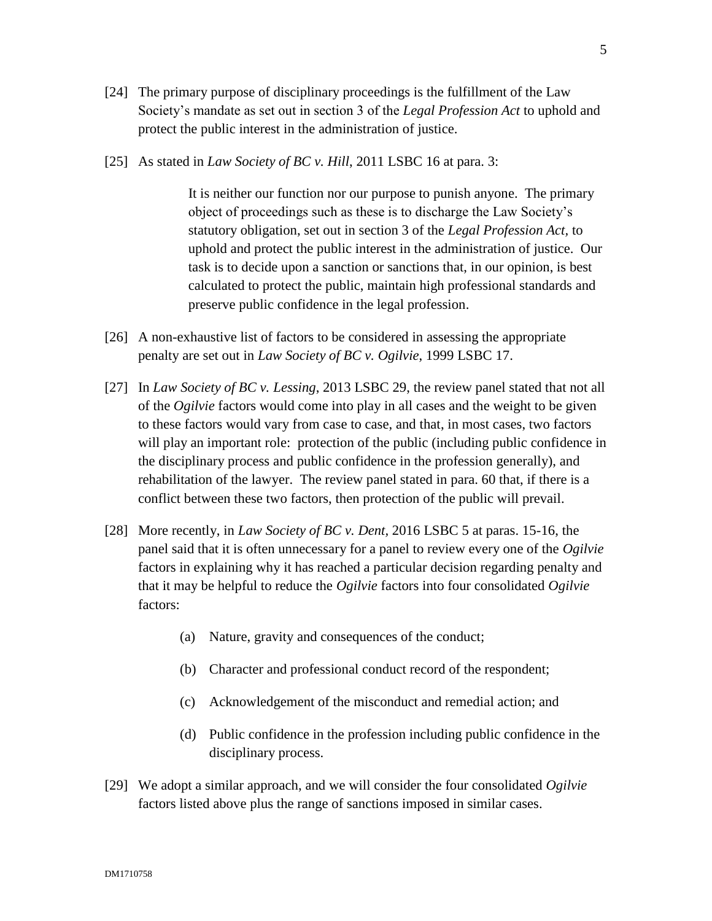- [24] The primary purpose of disciplinary proceedings is the fulfillment of the Law Society's mandate as set out in section 3 of the *Legal Profession Act* to uphold and protect the public interest in the administration of justice.
- [25] As stated in *Law Society of BC v. Hill*, 2011 LSBC 16 at para. 3:

It is neither our function nor our purpose to punish anyone. The primary object of proceedings such as these is to discharge the Law Society's statutory obligation, set out in section 3 of the *Legal Profession Act,* to uphold and protect the public interest in the administration of justice. Our task is to decide upon a sanction or sanctions that, in our opinion, is best calculated to protect the public, maintain high professional standards and preserve public confidence in the legal profession.

- [26] A non-exhaustive list of factors to be considered in assessing the appropriate penalty are set out in *Law Society of BC v. Ogilvie*, 1999 LSBC 17.
- [27] In *Law Society of BC v. Lessing*, 2013 LSBC 29, the review panel stated that not all of the *Ogilvie* factors would come into play in all cases and the weight to be given to these factors would vary from case to case, and that, in most cases, two factors will play an important role: protection of the public (including public confidence in the disciplinary process and public confidence in the profession generally), and rehabilitation of the lawyer. The review panel stated in para. 60 that, if there is a conflict between these two factors, then protection of the public will prevail.
- [28] More recently, in *Law Society of BC v. Dent,* 2016 LSBC 5 at paras. 15-16, the panel said that it is often unnecessary for a panel to review every one of the *Ogilvie* factors in explaining why it has reached a particular decision regarding penalty and that it may be helpful to reduce the *Ogilvie* factors into four consolidated *Ogilvie* factors:
	- (a) Nature, gravity and consequences of the conduct;
	- (b) Character and professional conduct record of the respondent;
	- (c) Acknowledgement of the misconduct and remedial action; and
	- (d) Public confidence in the profession including public confidence in the disciplinary process.
- [29] We adopt a similar approach, and we will consider the four consolidated *Ogilvie* factors listed above plus the range of sanctions imposed in similar cases.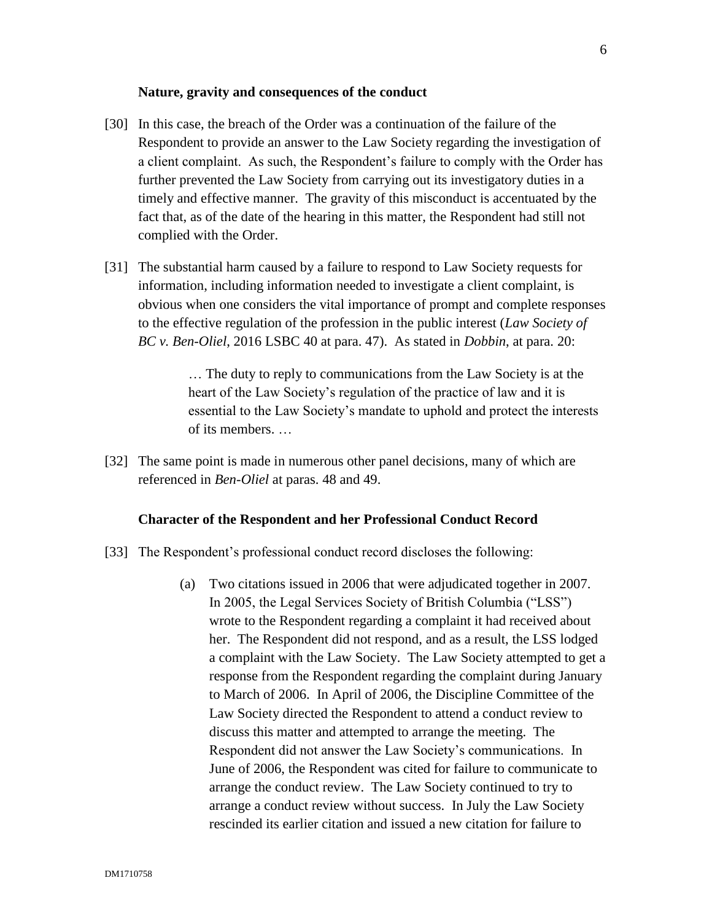#### **Nature, gravity and consequences of the conduct**

- [30] In this case, the breach of the Order was a continuation of the failure of the Respondent to provide an answer to the Law Society regarding the investigation of a client complaint. As such, the Respondent's failure to comply with the Order has further prevented the Law Society from carrying out its investigatory duties in a timely and effective manner. The gravity of this misconduct is accentuated by the fact that, as of the date of the hearing in this matter, the Respondent had still not complied with the Order.
- [31] The substantial harm caused by a failure to respond to Law Society requests for information, including information needed to investigate a client complaint, is obvious when one considers the vital importance of prompt and complete responses to the effective regulation of the profession in the public interest (*Law Society of BC v. Ben-Oliel*, 2016 LSBC 40 at para. 47). As stated in *Dobbin*, at para. 20:

… The duty to reply to communications from the Law Society is at the heart of the Law Society's regulation of the practice of law and it is essential to the Law Society's mandate to uphold and protect the interests of its members. …

[32] The same point is made in numerous other panel decisions, many of which are referenced in *Ben-Oliel* at paras. 48 and 49.

#### **Character of the Respondent and her Professional Conduct Record**

- [33] The Respondent's professional conduct record discloses the following:
	- (a) Two citations issued in 2006 that were adjudicated together in 2007. In 2005, the Legal Services Society of British Columbia ("LSS") wrote to the Respondent regarding a complaint it had received about her. The Respondent did not respond, and as a result, the LSS lodged a complaint with the Law Society. The Law Society attempted to get a response from the Respondent regarding the complaint during January to March of 2006. In April of 2006, the Discipline Committee of the Law Society directed the Respondent to attend a conduct review to discuss this matter and attempted to arrange the meeting. The Respondent did not answer the Law Society's communications. In June of 2006, the Respondent was cited for failure to communicate to arrange the conduct review. The Law Society continued to try to arrange a conduct review without success. In July the Law Society rescinded its earlier citation and issued a new citation for failure to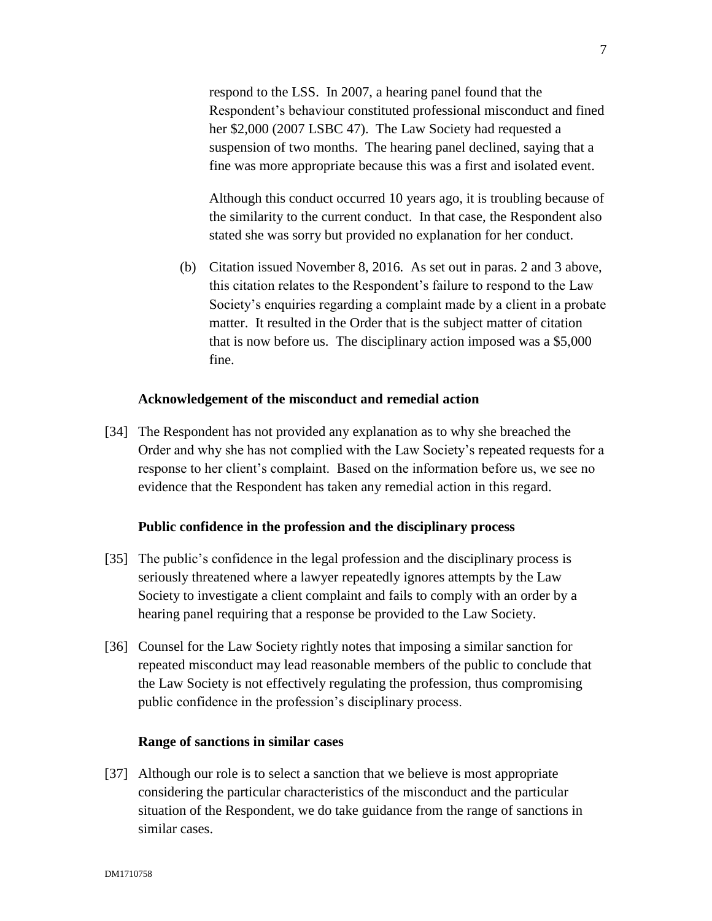respond to the LSS. In 2007, a hearing panel found that the Respondent's behaviour constituted professional misconduct and fined her \$2,000 (2007 LSBC 47). The Law Society had requested a suspension of two months. The hearing panel declined, saying that a fine was more appropriate because this was a first and isolated event.

Although this conduct occurred 10 years ago, it is troubling because of the similarity to the current conduct. In that case, the Respondent also stated she was sorry but provided no explanation for her conduct.

(b) Citation issued November 8, 2016*.* As set out in paras. 2 and 3 above, this citation relates to the Respondent's failure to respond to the Law Society's enquiries regarding a complaint made by a client in a probate matter. It resulted in the Order that is the subject matter of citation that is now before us. The disciplinary action imposed was a \$5,000 fine.

#### **Acknowledgement of the misconduct and remedial action**

[34] The Respondent has not provided any explanation as to why she breached the Order and why she has not complied with the Law Society's repeated requests for a response to her client's complaint. Based on the information before us, we see no evidence that the Respondent has taken any remedial action in this regard.

#### **Public confidence in the profession and the disciplinary process**

- [35] The public's confidence in the legal profession and the disciplinary process is seriously threatened where a lawyer repeatedly ignores attempts by the Law Society to investigate a client complaint and fails to comply with an order by a hearing panel requiring that a response be provided to the Law Society.
- [36] Counsel for the Law Society rightly notes that imposing a similar sanction for repeated misconduct may lead reasonable members of the public to conclude that the Law Society is not effectively regulating the profession, thus compromising public confidence in the profession's disciplinary process.

## **Range of sanctions in similar cases**

[37] Although our role is to select a sanction that we believe is most appropriate considering the particular characteristics of the misconduct and the particular situation of the Respondent, we do take guidance from the range of sanctions in similar cases.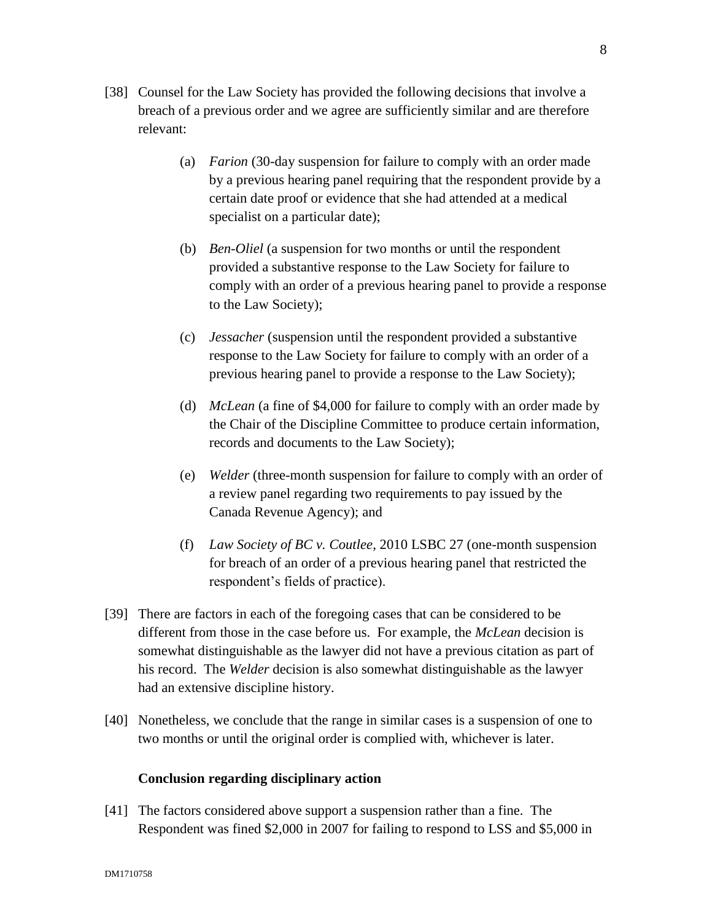- (a) *Farion* (30-day suspension for failure to comply with an order made by a previous hearing panel requiring that the respondent provide by a certain date proof or evidence that she had attended at a medical specialist on a particular date);
- (b) *Ben-Oliel* (a suspension for two months or until the respondent provided a substantive response to the Law Society for failure to comply with an order of a previous hearing panel to provide a response to the Law Society);
- (c) *Jessacher* (suspension until the respondent provided a substantive response to the Law Society for failure to comply with an order of a previous hearing panel to provide a response to the Law Society);
- (d) *McLean* (a fine of \$4,000 for failure to comply with an order made by the Chair of the Discipline Committee to produce certain information, records and documents to the Law Society);
- (e) *Welder* (three-month suspension for failure to comply with an order of a review panel regarding two requirements to pay issued by the Canada Revenue Agency); and
- (f) *Law Society of BC v. Coutlee*, 2010 LSBC 27 (one-month suspension for breach of an order of a previous hearing panel that restricted the respondent's fields of practice).
- [39] There are factors in each of the foregoing cases that can be considered to be different from those in the case before us. For example, the *McLean* decision is somewhat distinguishable as the lawyer did not have a previous citation as part of his record. The *Welder* decision is also somewhat distinguishable as the lawyer had an extensive discipline history.
- [40] Nonetheless, we conclude that the range in similar cases is a suspension of one to two months or until the original order is complied with, whichever is later.

# **Conclusion regarding disciplinary action**

[41] The factors considered above support a suspension rather than a fine. The Respondent was fined \$2,000 in 2007 for failing to respond to LSS and \$5,000 in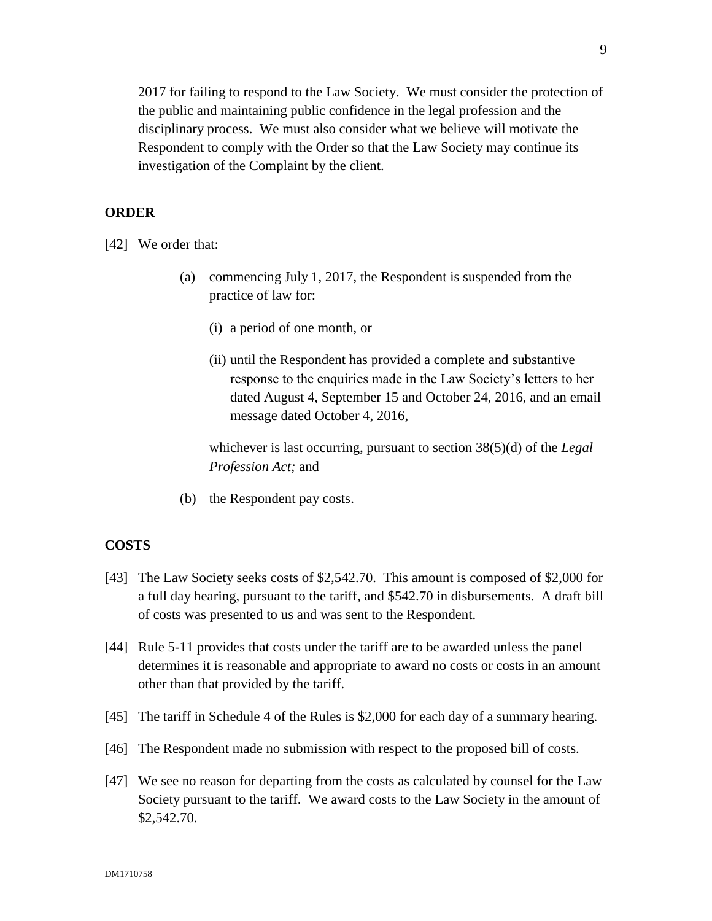2017 for failing to respond to the Law Society. We must consider the protection of the public and maintaining public confidence in the legal profession and the disciplinary process. We must also consider what we believe will motivate the Respondent to comply with the Order so that the Law Society may continue its investigation of the Complaint by the client.

## **ORDER**

- [42] We order that:
	- (a) commencing July 1, 2017, the Respondent is suspended from the practice of law for:
		- (i) a period of one month, or
		- (ii) until the Respondent has provided a complete and substantive response to the enquiries made in the Law Society's letters to her dated August 4, September 15 and October 24, 2016, and an email message dated October 4, 2016,

whichever is last occurring, pursuant to section 38(5)(d) of the *Legal Profession Act;* and

(b) the Respondent pay costs.

# **COSTS**

- [43] The Law Society seeks costs of \$2,542.70. This amount is composed of \$2,000 for a full day hearing, pursuant to the tariff, and \$542.70 in disbursements. A draft bill of costs was presented to us and was sent to the Respondent.
- [44] Rule 5-11 provides that costs under the tariff are to be awarded unless the panel determines it is reasonable and appropriate to award no costs or costs in an amount other than that provided by the tariff.
- [45] The tariff in Schedule 4 of the Rules is \$2,000 for each day of a summary hearing.
- [46] The Respondent made no submission with respect to the proposed bill of costs.
- [47] We see no reason for departing from the costs as calculated by counsel for the Law Society pursuant to the tariff. We award costs to the Law Society in the amount of \$2,542.70.